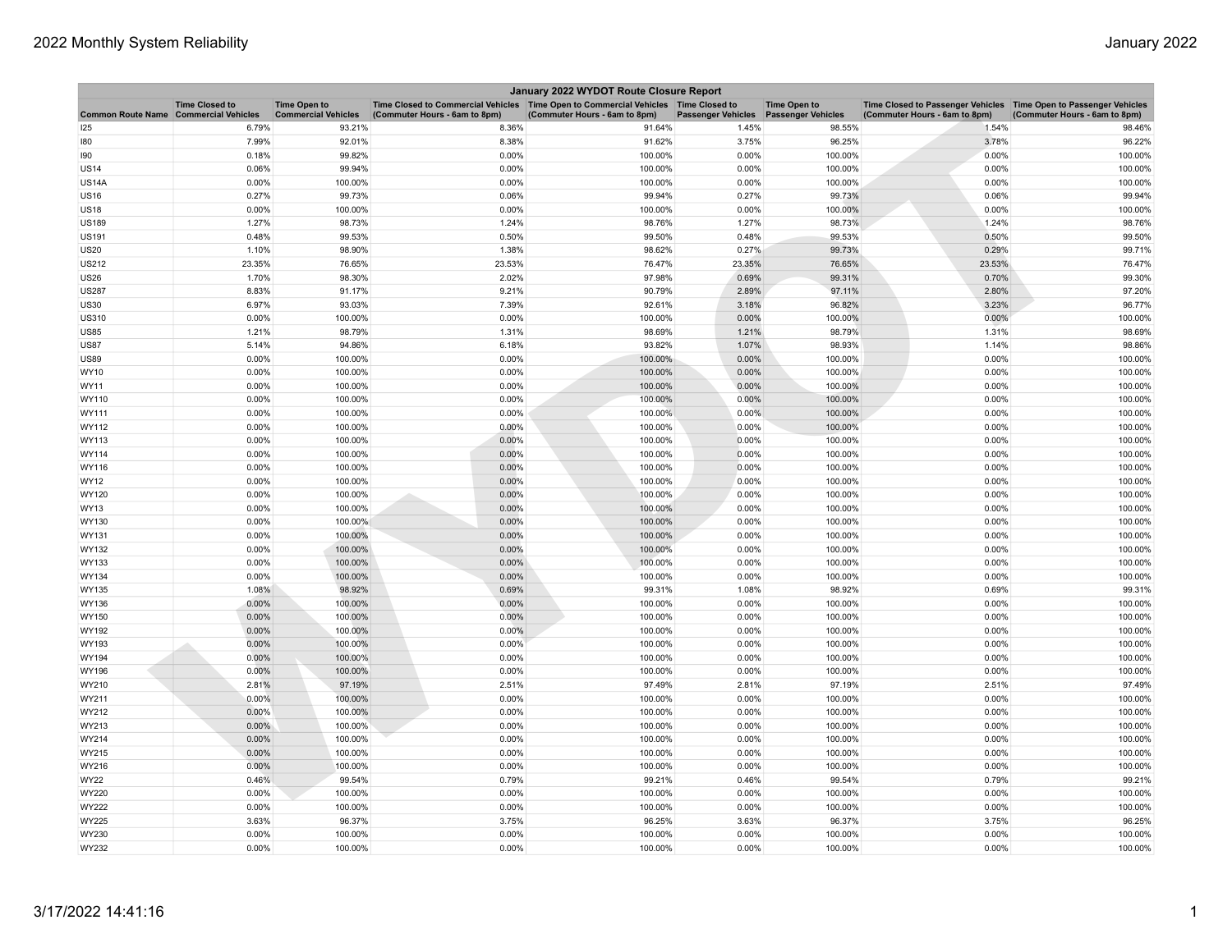| January 2022 WYDOT Route Closure Report |                       |                                                   |                                                                                                                         |                               |                           |                                                  |                                                                                                      |                               |  |
|-----------------------------------------|-----------------------|---------------------------------------------------|-------------------------------------------------------------------------------------------------------------------------|-------------------------------|---------------------------|--------------------------------------------------|------------------------------------------------------------------------------------------------------|-------------------------------|--|
| Common Route Name Commercial Vehicles   | <b>Time Closed to</b> | <b>Time Open to</b><br><b>Commercial Vehicles</b> | Time Closed to Commercial Vehicles   Time Open to Commercial Vehicles   Time Closed to<br>(Commuter Hours - 6am to 8pm) | (Commuter Hours - 6am to 8pm) | <b>Passenger Vehicles</b> | <b>Time Open to</b><br><b>Passenger Vehicles</b> | Time Closed to Passenger Vehicles   Time Open to Passenger Vehicles<br>(Commuter Hours - 6am to 8pm) | (Commuter Hours - 6am to 8pm) |  |
| 125                                     | 6.79%                 | 93.21%                                            | 8.36%                                                                                                                   | 91.64%                        | 1.45%                     | 98.55%                                           | 1.54%                                                                                                | 98.46%                        |  |
| 180                                     | 7.99%                 | 92.01%                                            | 8.38%                                                                                                                   | 91.62%                        | 3.75%                     | 96.25%                                           | 3.78%                                                                                                | 96.22%                        |  |
| 190                                     | 0.18%                 | 99.82%                                            | 0.00%                                                                                                                   | 100.00%                       | 0.00%                     | 100.00%                                          | 0.00%                                                                                                | 100.00%                       |  |
| <b>US14</b>                             | 0.06%                 | 99.94%                                            | 0.00%                                                                                                                   | 100.00%                       | 0.00%                     | 100.00%                                          | 0.00%                                                                                                | 100.00%                       |  |
| <b>US14A</b>                            | 0.00%                 | 100.00%                                           | 0.00%                                                                                                                   | 100.00%                       | 0.00%                     | 100.00%                                          | 0.00%                                                                                                | 100.00%                       |  |
| <b>US16</b>                             | 0.27%                 | 99.73%                                            | 0.06%                                                                                                                   | 99.94%                        | 0.27%                     | 99.73%                                           | 0.06%                                                                                                | 99.94%                        |  |
| <b>US18</b>                             | 0.00%                 | 100.00%                                           | 0.00%                                                                                                                   | 100.00%                       | 0.00%                     | 100.00%                                          | 0.00%                                                                                                | 100.00%                       |  |
| <b>US189</b>                            | 1.27%                 | 98.73%                                            | 1.24%                                                                                                                   | 98.76%                        | 1.27%                     | 98.73%                                           | 1.24%                                                                                                | 98.76%                        |  |
| <b>US191</b>                            | 0.48%                 | 99.53%                                            | 0.50%                                                                                                                   | 99.50%                        | 0.48%                     | 99.53%                                           | 0.50%                                                                                                | 99.50%                        |  |
| <b>US20</b>                             | 1.10%                 | 98.90%                                            | 1.38%                                                                                                                   | 98.62%                        | 0.27%                     | 99.73%                                           | 0.29%                                                                                                | 99.71%                        |  |
| <b>US212</b>                            | 23.35%                | 76.65%                                            | 23.53%                                                                                                                  | 76.47%                        | 23.35%                    | 76.65%                                           | 23.53%                                                                                               | 76.47%                        |  |
| <b>US26</b>                             | 1.70%                 | 98.30%                                            | 2.02%                                                                                                                   | 97.98%                        | 0.69%                     | 99.31%                                           | 0.70%                                                                                                | 99.30%                        |  |
| <b>US287</b>                            | 8.83%                 | 91.17%                                            | 9.21%                                                                                                                   | 90.79%                        | 2.89%                     | 97.11%                                           | 2.80%                                                                                                | 97.20%                        |  |
| <b>US30</b>                             | 6.97%                 | 93.03%                                            | 7.39%                                                                                                                   | 92.61%                        | 3.18%                     | 96.82%                                           | 3.23%                                                                                                | 96.77%                        |  |
| US310                                   | 0.00%                 | 100.00%                                           | 0.00%                                                                                                                   | 100.00%                       | 0.00%                     | 100.00%                                          | 0.00%                                                                                                | 100.00%                       |  |
| <b>US85</b>                             | 1.21%                 | 98.79%                                            | 1.31%                                                                                                                   | 98.69%                        | 1.21%                     | 98.79%                                           | 1.31%                                                                                                | 98.69%                        |  |
| <b>US87</b>                             | 5.14%                 | 94.86%                                            | 6.18%                                                                                                                   | 93.82%                        | 1.07%                     | 98.93%                                           | 1.14%                                                                                                | 98.86%                        |  |
| <b>US89</b>                             | 0.00%                 | 100.00%                                           | 0.00%                                                                                                                   | 100.00%                       | 0.00%                     | 100.00%                                          | 0.00%                                                                                                | 100.00%                       |  |
| WY10                                    | 0.00%                 | 100.00%                                           | 0.00%                                                                                                                   | 100.00%                       | 0.00%                     | 100.00%                                          | 0.00%                                                                                                | 100.00%                       |  |
| WY11                                    | 0.00%                 | 100.00%                                           | 0.00%                                                                                                                   | 100.00%                       | 0.00%                     | 100.00%                                          | 0.00%                                                                                                | 100.00%                       |  |
| WY110                                   | 0.00%                 | 100.00%                                           | 0.00%                                                                                                                   | 100.00%                       | 0.00%                     | 100.00%                                          | 0.00%                                                                                                | 100.00%                       |  |
| WY111                                   | 0.00%                 | 100.00%                                           | 0.00%                                                                                                                   | 100.00%                       | 0.00%                     | 100.00%                                          | 0.00%                                                                                                | 100.00%                       |  |
| WY112                                   | 0.00%                 | 100.00%                                           | 0.00%                                                                                                                   | 100.00%                       | 0.00%                     | 100.00%                                          | 0.00%                                                                                                | 100.00%                       |  |
| WY113                                   | 0.00%                 | 100.00%                                           | 0.00%                                                                                                                   | 100.00%                       | 0.00%                     | 100.00%                                          | 0.00%                                                                                                | 100.00%                       |  |
| WY114                                   | 0.00%                 | 100.00%                                           | 0.00%                                                                                                                   | 100.00%                       | 0.00%                     | 100.00%                                          | 0.00%                                                                                                | 100.00%                       |  |
| WY116                                   | 0.00%                 | 100.00%                                           | 0.00%                                                                                                                   | 100.00%                       | 0.00%                     | 100.00%                                          | 0.00%                                                                                                | 100.00%                       |  |
| WY12                                    | 0.00%                 | 100.00%                                           | 0.00%                                                                                                                   | 100.00%                       | 0.00%                     | 100.00%                                          | 0.00%                                                                                                | 100.00%                       |  |
| WY120                                   | 0.00%                 | 100.00%                                           | 0.00%                                                                                                                   | 100.00%                       | 0.00%                     | 100.00%                                          | 0.00%                                                                                                | 100.00%                       |  |
| WY13                                    | 0.00%                 | 100.00%                                           | 0.00%                                                                                                                   | 100.00%                       | 0.00%                     | 100.00%                                          | 0.00%                                                                                                | 100.00%                       |  |
| WY130                                   | 0.00%                 | 100.00%                                           | 0.00%                                                                                                                   | 100.00%                       | 0.00%                     | 100.00%                                          | 0.00%                                                                                                | 100.00%                       |  |
| WY131                                   | 0.00%                 | 100.00%                                           | 0.00%                                                                                                                   | 100.00%                       | 0.00%                     | 100.00%                                          | 0.00%                                                                                                | 100.00%                       |  |
| WY132                                   | 0.00%                 | 100.00%                                           | 0.00%                                                                                                                   | 100.00%                       | 0.00%                     | 100.00%                                          | 0.00%                                                                                                | 100.00%                       |  |
| WY133                                   | 0.00%                 | 100.00%                                           | 0.00%                                                                                                                   | 100.00%                       | 0.00%                     | 100.00%                                          | 0.00%                                                                                                | 100.00%                       |  |
| WY134                                   | 0.00%                 | 100.00%                                           | 0.00%                                                                                                                   | 100.00%                       | 0.00%                     | 100.00%                                          | 0.00%                                                                                                | 100.00%                       |  |
| WY135                                   | 1.08%                 | 98.92%                                            | 0.69%                                                                                                                   | 99.31%                        | 1.08%                     | 98.92%                                           | 0.69%                                                                                                | 99.31%                        |  |
| WY136                                   | 0.00%                 | 100.00%                                           | 0.00%                                                                                                                   | 100.00%                       | 0.00%                     | 100.00%                                          | 0.00%                                                                                                | 100.00%                       |  |
| WY150                                   | 0.00%                 | 100.00%                                           | 0.00%                                                                                                                   | 100.00%                       | 0.00%                     | 100.00%                                          | 0.00%                                                                                                | 100.00%                       |  |
| WY192                                   | 0.00%                 | 100.00%                                           | 0.00%                                                                                                                   | 100.00%                       | 0.00%                     | 100.00%                                          | 0.00%                                                                                                | 100.00%                       |  |
| WY193                                   | 0.00%                 | 100.00%                                           | 0.00%                                                                                                                   | 100.00%                       | 0.00%                     | 100.00%                                          | 0.00%                                                                                                | 100.00%                       |  |
| WY194                                   | 0.00%                 | 100.00%                                           | 0.00%                                                                                                                   | 100.00%                       | 0.00%                     | 100.00%                                          | 0.00%                                                                                                | 100.00%                       |  |
| WY196                                   | 0.00%                 | 100.00%                                           | 0.00%                                                                                                                   | 100.00%                       | 0.00%                     | 100.00%                                          | 0.00%                                                                                                | 100.00%                       |  |
| WY210                                   | 2.81%                 | 97.19%                                            | 2.51%                                                                                                                   | 97.49%                        | 2.81%                     | 97.19%                                           | 2.51%                                                                                                | 97.49%                        |  |
| WY211                                   | 0.00%                 | 100.00%                                           | 0.00%                                                                                                                   | 100.00%                       | 0.00%                     | 100.00%                                          | 0.00%                                                                                                | 100.00%                       |  |
| WY212                                   | 0.00%                 | 100.00%                                           | 0.00%                                                                                                                   | 100.00%                       | 0.00%                     | 100.00%                                          | 0.00%                                                                                                | 100.00%                       |  |
| WY213                                   | $0.00\%$              | 100.00%                                           | 0.00%                                                                                                                   | 100.00%                       | 0.00%                     | 100.00%                                          | 0.00%                                                                                                | 100.00%                       |  |
| WY214                                   | $0.00\%$              | 100.00%                                           | 0.00%                                                                                                                   | 100.00%                       | 0.00%                     | 100.00%                                          | 0.00%                                                                                                | 100.00%                       |  |
| WY215                                   | 0.00%                 | 100.00%                                           | 0.00%                                                                                                                   | 100.00%                       | 0.00%                     | 100.00%                                          | 0.00%                                                                                                | 100.00%                       |  |
| WY216                                   | 0.00%                 | 100.00%                                           | 0.00%                                                                                                                   | 100.00%                       | 0.00%                     | 100.00%                                          | 0.00%                                                                                                | 100.00%                       |  |
| <b>WY22</b>                             | 0.46%                 | 99.54%                                            | 0.79%                                                                                                                   | 99.21%                        | 0.46%                     | 99.54%                                           | 0.79%                                                                                                | 99.21%                        |  |
| WY220                                   | 0.00%                 | 100.00%                                           | 0.00%                                                                                                                   | 100.00%                       | 0.00%                     | 100.00%                                          | 0.00%                                                                                                | 100.00%                       |  |
| WY222                                   | 0.00%                 | 100.00%                                           | 0.00%                                                                                                                   | 100.00%                       | 0.00%                     | 100.00%                                          | 0.00%                                                                                                | 100.00%                       |  |
| <b>WY225</b>                            | 3.63%<br>0.00%        | 96.37%                                            | 3.75%                                                                                                                   | 96.25%                        | 3.63%                     | 96.37%<br>100.00%                                | 3.75%<br>0.00%                                                                                       | 96.25%<br>100.00%             |  |
| WY230<br>WY232                          | 0.00%                 | 100.00%<br>100.00%                                | 0.00%<br>0.00%                                                                                                          | 100.00%<br>100.00%            | 0.00%                     | 100.00%                                          | 0.00%                                                                                                | 100.00%                       |  |
|                                         |                       |                                                   |                                                                                                                         |                               | 0.00%                     |                                                  |                                                                                                      |                               |  |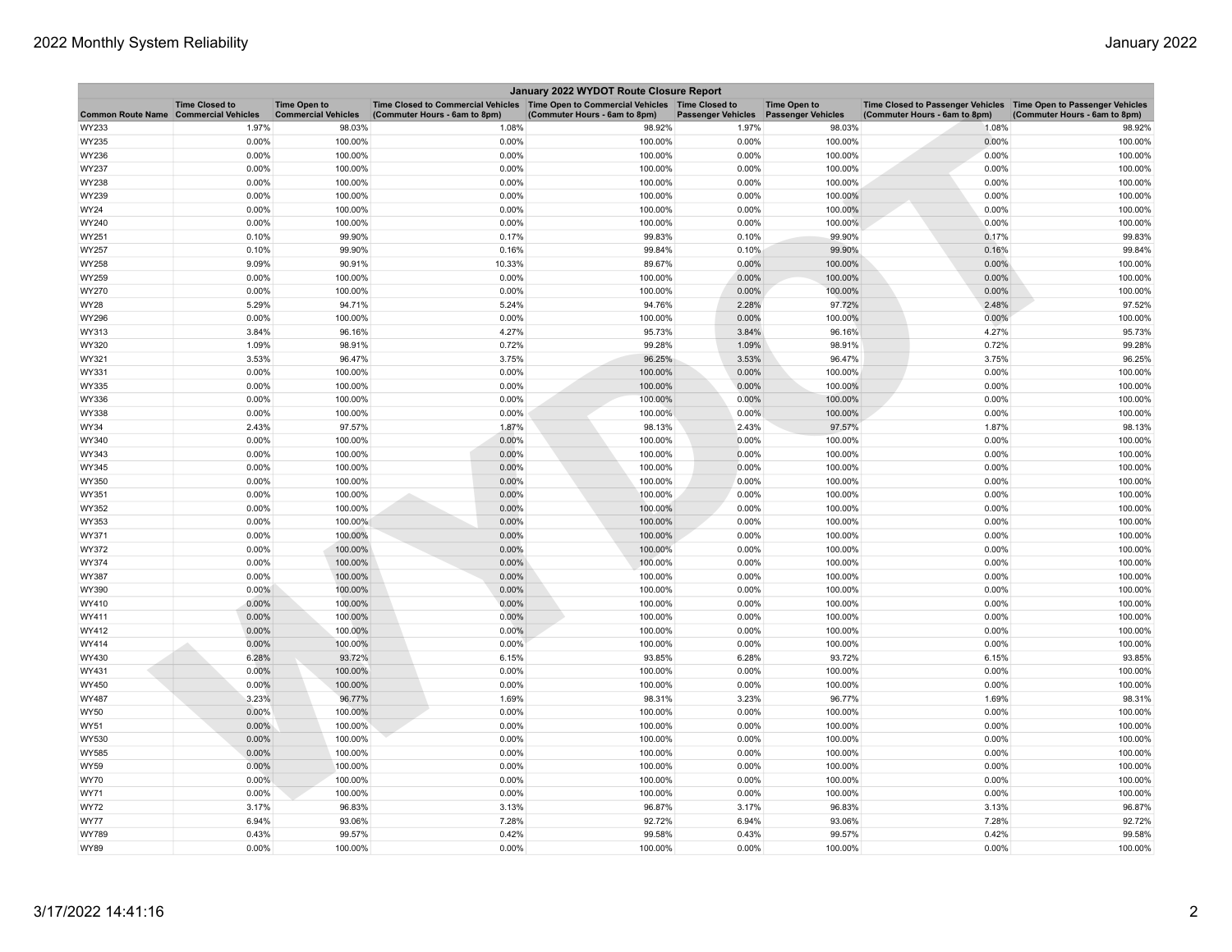| January 2022 WYDOT Route Closure Report |                       |                                                   |                                                                                                                         |                               |                           |                                                  |                                                                                                      |                               |  |
|-----------------------------------------|-----------------------|---------------------------------------------------|-------------------------------------------------------------------------------------------------------------------------|-------------------------------|---------------------------|--------------------------------------------------|------------------------------------------------------------------------------------------------------|-------------------------------|--|
| Common Route Name Commercial Vehicles   | <b>Time Closed to</b> | <b>Time Open to</b><br><b>Commercial Vehicles</b> | Time Closed to Commercial Vehicles   Time Open to Commercial Vehicles   Time Closed to<br>(Commuter Hours - 6am to 8pm) | (Commuter Hours - 6am to 8pm) | <b>Passenger Vehicles</b> | <b>Time Open to</b><br><b>Passenger Vehicles</b> | Time Closed to Passenger Vehicles   Time Open to Passenger Vehicles<br>(Commuter Hours - 6am to 8pm) | (Commuter Hours - 6am to 8pm) |  |
| WY233                                   | 1.97%                 | 98.03%                                            | 1.08%                                                                                                                   | 98.92%                        | 1.97%                     | 98.03%                                           | 1.08%                                                                                                | 98.92%                        |  |
| WY235                                   | 0.00%                 | 100.00%                                           | 0.00%                                                                                                                   | 100.00%                       | 0.00%                     | 100.00%                                          | 0.00%                                                                                                | 100.00%                       |  |
| WY236                                   | 0.00%                 | 100.00%                                           | 0.00%                                                                                                                   | 100.00%                       | 0.00%                     | 100.00%                                          | 0.00%                                                                                                | 100.00%                       |  |
| WY237                                   | 0.00%                 | 100.00%                                           | 0.00%                                                                                                                   | 100.00%                       | 0.00%                     | 100.00%                                          | 0.00%                                                                                                | 100.00%                       |  |
| WY238                                   | 0.00%                 | 100.00%                                           | 0.00%                                                                                                                   | 100.00%                       | 0.00%                     | 100.00%                                          | 0.00%                                                                                                | 100.00%                       |  |
| WY239                                   | 0.00%                 | 100.00%                                           | 0.00%                                                                                                                   | 100.00%                       | 0.00%                     | 100.00%                                          | 0.00%                                                                                                | 100.00%                       |  |
| WY24                                    | 0.00%                 | 100.00%                                           | 0.00%                                                                                                                   | 100.00%                       | 0.00%                     | 100.00%                                          | 0.00%                                                                                                | 100.00%                       |  |
| WY240                                   | 0.00%                 | 100.00%                                           | 0.00%                                                                                                                   | 100.00%                       | 0.00%                     | 100.00%                                          | 0.00%                                                                                                | 100.00%                       |  |
| WY251                                   | 0.10%                 | 99.90%                                            | 0.17%                                                                                                                   | 99.83%                        | 0.10%                     | 99.90%                                           | 0.17%                                                                                                | 99.83%                        |  |
| WY257                                   | 0.10%                 | 99.90%                                            | 0.16%                                                                                                                   | 99.84%                        | 0.10%                     | 99.90%                                           | 0.16%                                                                                                | 99.84%                        |  |
| WY258                                   | 9.09%                 | 90.91%                                            | 10.33%                                                                                                                  | 89.67%                        | 0.00%                     | 100.00%                                          | 0.00%                                                                                                | 100.00%                       |  |
| WY259                                   | 0.00%                 | 100.00%                                           | 0.00%                                                                                                                   | 100.00%                       | 0.00%                     | 100.00%                                          | 0.00%                                                                                                | 100.00%                       |  |
| WY270                                   | 0.00%                 | 100.00%                                           | 0.00%                                                                                                                   | 100.00%                       | 0.00%                     | 100.00%                                          | 0.00%                                                                                                | 100.00%                       |  |
| WY28                                    | 5.29%                 | 94.71%                                            | 5.24%                                                                                                                   | 94.76%                        | 2.28%                     | 97.72%                                           | 2.48%                                                                                                | 97.52%                        |  |
| WY296                                   | 0.00%                 | 100.00%                                           | 0.00%                                                                                                                   | 100.00%                       | 0.00%                     | 100.00%                                          | 0.00%                                                                                                | 100.00%                       |  |
| WY313                                   | 3.84%                 | 96.16%                                            | 4.27%                                                                                                                   | 95.73%                        | 3.84%                     | 96.16%                                           | 4.27%                                                                                                | 95.73%                        |  |
| WY320                                   | 1.09%                 | 98.91%                                            | 0.72%                                                                                                                   | 99.28%                        | 1.09%                     | 98.91%                                           | 0.72%                                                                                                | 99.28%                        |  |
| WY321                                   | 3.53%                 | 96.47%                                            | 3.75%                                                                                                                   | 96.25%                        | 3.53%                     | 96.47%                                           | 3.75%                                                                                                | 96.25%                        |  |
| WY331                                   | 0.00%                 | 100.00%                                           | 0.00%                                                                                                                   | 100.00%                       | 0.00%                     | 100.00%                                          | 0.00%                                                                                                | 100.00%                       |  |
| WY335                                   | 0.00%                 | 100.00%                                           | 0.00%                                                                                                                   | 100.00%                       | 0.00%                     | 100.00%                                          | 0.00%                                                                                                | 100.00%                       |  |
| WY336                                   | 0.00%                 | 100.00%                                           | 0.00%                                                                                                                   | 100.00%                       | 0.00%                     | 100.00%                                          | 0.00%                                                                                                | 100.00%                       |  |
| WY338                                   | 0.00%                 | 100.00%                                           | 0.00%                                                                                                                   | 100.00%                       | 0.00%                     | 100.00%                                          | 0.00%                                                                                                | 100.00%                       |  |
| WY34                                    | 2.43%                 | 97.57%                                            | 1.87%                                                                                                                   | 98.13%                        | 2.43%                     | 97.57%                                           | 1.87%                                                                                                | 98.13%                        |  |
| WY340                                   | 0.00%                 | 100.00%                                           | 0.00%                                                                                                                   | 100.00%                       | 0.00%                     | 100.00%                                          | 0.00%                                                                                                | 100.00%                       |  |
| WY343                                   | 0.00%                 | 100.00%                                           | 0.00%                                                                                                                   | 100.00%                       | 0.00%                     | 100.00%                                          | 0.00%                                                                                                | 100.00%                       |  |
| WY345                                   | 0.00%                 | 100.00%                                           | 0.00%                                                                                                                   | 100.00%                       | 0.00%                     | 100.00%                                          | 0.00%                                                                                                | 100.00%                       |  |
| WY350                                   | 0.00%                 | 100.00%                                           | 0.00%                                                                                                                   | 100.00%                       | 0.00%                     | 100.00%                                          | 0.00%                                                                                                | 100.00%                       |  |
| WY351                                   | 0.00%                 | 100.00%                                           | 0.00%                                                                                                                   | 100.00%                       | 0.00%                     | 100.00%                                          | 0.00%                                                                                                | 100.00%                       |  |
| WY352                                   | 0.00%                 | 100.00%                                           | 0.00%                                                                                                                   | 100.00%                       | 0.00%                     | 100.00%                                          | 0.00%                                                                                                | 100.00%                       |  |
| WY353                                   | 0.00%                 | 100.00%                                           | 0.00%                                                                                                                   | 100.00%                       | 0.00%                     | 100.00%                                          | 0.00%                                                                                                | 100.00%                       |  |
| WY371                                   | 0.00%                 | 100.00%                                           | 0.00%                                                                                                                   | 100.00%                       | 0.00%                     | 100.00%                                          | 0.00%                                                                                                | 100.00%                       |  |
| WY372                                   | $0.00\%$              | 100.00%                                           | 0.00%                                                                                                                   | 100.00%                       | 0.00%                     | 100.00%                                          | 0.00%                                                                                                | 100.00%                       |  |
| WY374                                   | 0.00%                 | 100.00%                                           | 0.00%                                                                                                                   | 100.00%                       | 0.00%                     | 100.00%                                          | 0.00%                                                                                                | 100.00%                       |  |
| WY387                                   | 0.00%                 | 100.00%                                           | 0.00%                                                                                                                   | 100.00%                       | 0.00%                     | 100.00%                                          | 0.00%                                                                                                | 100.00%                       |  |
| WY390                                   | $0.00\%$              | 100.00%                                           | 0.00%                                                                                                                   | 100.00%                       | 0.00%                     | 100.00%                                          | 0.00%                                                                                                | 100.00%                       |  |
| WY410                                   | 0.00%                 | 100.00%                                           | 0.00%                                                                                                                   | 100.00%                       | 0.00%                     | 100.00%                                          | 0.00%                                                                                                | 100.00%                       |  |
| WY411                                   | 0.00%                 | 100.00%                                           | 0.00%                                                                                                                   | 100.00%                       | 0.00%                     | 100.00%                                          | 0.00%                                                                                                | 100.00%                       |  |
| WY412                                   | 0.00%                 | 100.00%                                           | 0.00%                                                                                                                   | 100.00%                       | 0.00%                     | 100.00%                                          | 0.00%                                                                                                | 100.00%                       |  |
| WY414                                   | 0.00%                 | 100.00%                                           | 0.00%                                                                                                                   | 100.00%                       | 0.00%                     | 100.00%                                          | 0.00%                                                                                                | 100.00%                       |  |
| WY430                                   | 6.28%                 | 93.72%                                            | 6.15%                                                                                                                   | 93.85%                        | 6.28%                     | 93.72%                                           | 6.15%                                                                                                | 93.85%                        |  |
| WY431                                   | 0.00%                 | 100.00%                                           | 0.00%                                                                                                                   | 100.00%                       | 0.00%                     | 100.00%                                          | 0.00%                                                                                                | 100.00%                       |  |
| WY450                                   | 0.00%                 | 100.00%                                           | 0.00%                                                                                                                   | 100.00%                       | 0.00%                     | 100.00%                                          | 0.00%                                                                                                | 100.00%                       |  |
| WY487                                   | 3.23%                 | 96.77%                                            | 1.69%                                                                                                                   | 98.31%                        | 3.23%                     | 96.77%                                           | 1.69%                                                                                                | 98.31%                        |  |
| WY50                                    | 0.00%                 | 100.00%                                           | 0.00%                                                                                                                   | 100.00%                       | 0.00%                     | 100.00%                                          | 0.00%                                                                                                | 100.00%                       |  |
| WY51                                    | 0.00%                 | 100.00%                                           | 0.00%                                                                                                                   | 100.00%                       | 0.00%                     | 100.00%                                          | 0.00%                                                                                                | 100.00%                       |  |
| WY530                                   | 0.00%                 | 100.00%                                           | 0.00%                                                                                                                   | 100.00%                       | 0.00%                     | 100.00%                                          | 0.00%                                                                                                | 100.00%                       |  |
| WY585                                   | 0.00%                 | 100.00%                                           | 0.00%                                                                                                                   | 100.00%                       | 0.00%                     | 100.00%                                          | 0.00%                                                                                                | 100.00%                       |  |
| <b>WY59</b>                             | $0.00\%$              | 100.00%                                           | 0.00%                                                                                                                   | 100.00%                       | 0.00%                     | 100.00%                                          | 0.00%                                                                                                | 100.00%                       |  |
| <b>WY70</b>                             | 0.00%                 | 100.00%                                           | 0.00%                                                                                                                   | 100.00%                       | 0.00%                     | 100.00%                                          | 0.00%                                                                                                | 100.00%                       |  |
| WY71                                    | 0.00%                 | 100.00%                                           | 0.00%                                                                                                                   | 100.00%                       | 0.00%                     | 100.00%                                          | 0.00%                                                                                                | 100.00%                       |  |
| <b>WY72</b>                             | 3.17%                 | 96.83%                                            | 3.13%                                                                                                                   | 96.87%                        | 3.17%                     | 96.83%                                           | 3.13%                                                                                                | 96.87%                        |  |
| <b>WY77</b>                             | 6.94%                 | 93.06%                                            | 7.28%                                                                                                                   | 92.72%                        | 6.94%                     | 93.06%                                           | 7.28%                                                                                                | 92.72%                        |  |
| WY789                                   | 0.43%                 | 99.57%                                            | 0.42%                                                                                                                   | 99.58%                        | 0.43%                     | 99.57%                                           | 0.42%                                                                                                | 99.58%                        |  |
| <b>WY89</b>                             | 0.00%                 | 100.00%                                           | 0.00%                                                                                                                   | 100.00%                       | 0.00%                     | 100.00%                                          | 0.00%                                                                                                | 100.00%                       |  |